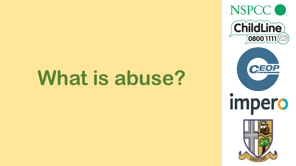# **What is abuse?**

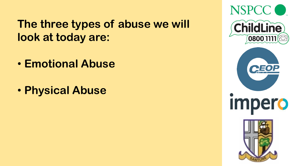#### **The three types of abuse we will look at today are:**

- **Emotional Abuse**
- **Physical Abuse**

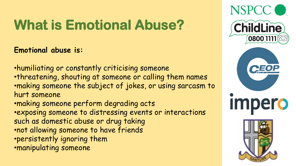# **What is Emotional Abuse?**

**Emotional abuse is:**

•humiliating or constantly criticising someone •threatening, shouting at someone or calling them names •making someone the subject of jokes, or using sarcasm to hurt someone •making someone perform degrading acts •exposing someone to distressing events or interactions such as domestic abuse or drug taking •not allowing someone to have friends •persistently ignoring them •manipulating someone

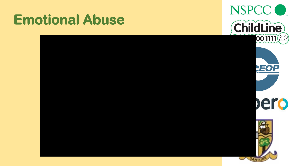### **Emotional Abuse**

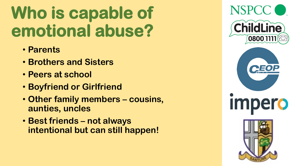# **Who is capable of emotional abuse?**

- **Parents**
- **Brothers and Sisters**
- **Peers at school**
- **Boyfriend or Girlfriend**
- **Other family members – cousins, aunties, uncles**
- **Best friends – not always intentional but can still happen!**

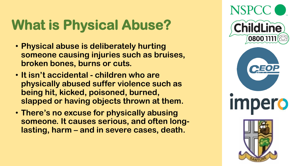# **What is Physical Abuse?**

- **Physical abuse is deliberately hurting someone causing injuries such as bruises, broken bones, burns or cuts.**
- **It isn't accidental - children who are physically abused suffer violence such as being hit, kicked, poisoned, burned, slapped or having objects thrown at them.**
- **There's no excuse for physically abusing someone. It causes serious, and often longlasting, harm – and in severe cases, death.**

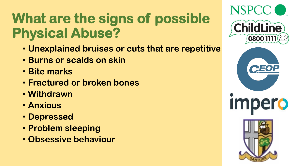# **What are the signs of possible Physical Abuse?**

- **Unexplained bruises or cuts that are repetitive**
- **Burns or scalds on skin**
- **Bite marks**
- **Fractured or broken bones**
- **Withdrawn**
- **Anxious**
- **Depressed**
- **Problem sleeping**
- **Obsessive behaviour**